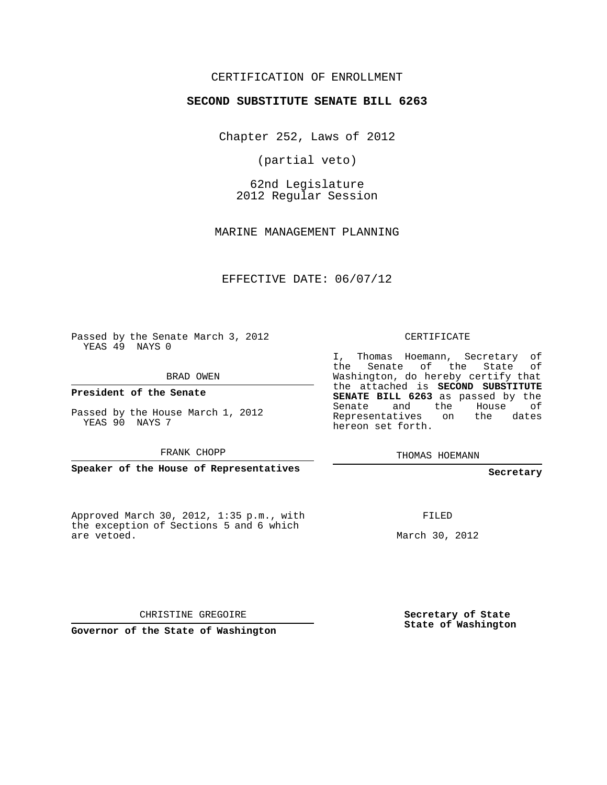## CERTIFICATION OF ENROLLMENT

## **SECOND SUBSTITUTE SENATE BILL 6263**

Chapter 252, Laws of 2012

(partial veto)

62nd Legislature 2012 Regular Session

MARINE MANAGEMENT PLANNING

EFFECTIVE DATE: 06/07/12

Passed by the Senate March 3, 2012 YEAS 49 NAYS 0

BRAD OWEN

**President of the Senate**

Passed by the House March 1, 2012 YEAS 90 NAYS 7

FRANK CHOPP

**Speaker of the House of Representatives**

Approved March 30, 2012, 1:35 p.m., with the exception of Sections 5 and 6 which are vetoed.

CERTIFICATE

I, Thomas Hoemann, Secretary of the Senate of the State of Washington, do hereby certify that the attached is **SECOND SUBSTITUTE SENATE BILL 6263** as passed by the Senate and the House of Representatives on the dates hereon set forth.

THOMAS HOEMANN

**Secretary**

FILED

March 30, 2012

CHRISTINE GREGOIRE

**Governor of the State of Washington**

**Secretary of State State of Washington**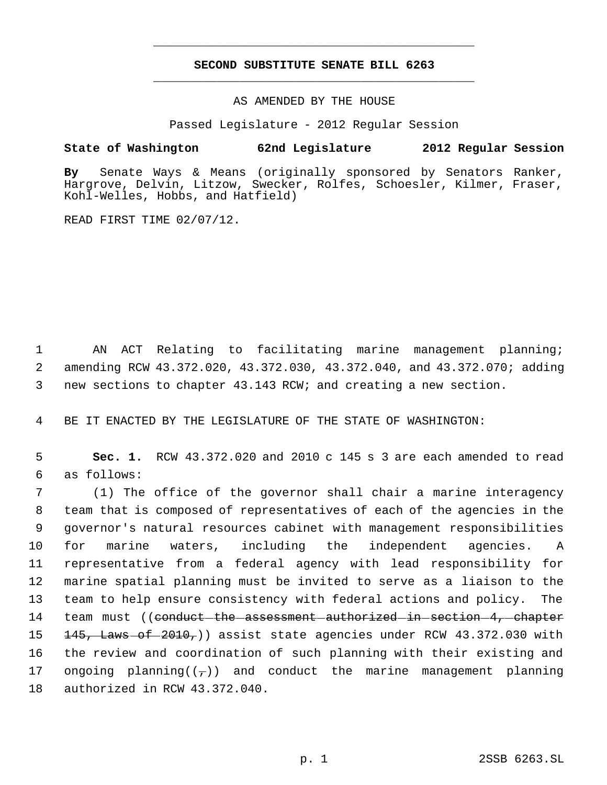## **SECOND SUBSTITUTE SENATE BILL 6263** \_\_\_\_\_\_\_\_\_\_\_\_\_\_\_\_\_\_\_\_\_\_\_\_\_\_\_\_\_\_\_\_\_\_\_\_\_\_\_\_\_\_\_\_\_

\_\_\_\_\_\_\_\_\_\_\_\_\_\_\_\_\_\_\_\_\_\_\_\_\_\_\_\_\_\_\_\_\_\_\_\_\_\_\_\_\_\_\_\_\_

AS AMENDED BY THE HOUSE

Passed Legislature - 2012 Regular Session

## **State of Washington 62nd Legislature 2012 Regular Session**

**By** Senate Ways & Means (originally sponsored by Senators Ranker, Hargrove, Delvin, Litzow, Swecker, Rolfes, Schoesler, Kilmer, Fraser, Kohl-Welles, Hobbs, and Hatfield)

READ FIRST TIME 02/07/12.

 1 AN ACT Relating to facilitating marine management planning; 2 amending RCW 43.372.020, 43.372.030, 43.372.040, and 43.372.070; adding 3 new sections to chapter 43.143 RCW; and creating a new section.

4 BE IT ENACTED BY THE LEGISLATURE OF THE STATE OF WASHINGTON:

 5 **Sec. 1.** RCW 43.372.020 and 2010 c 145 s 3 are each amended to read 6 as follows:

 (1) The office of the governor shall chair a marine interagency team that is composed of representatives of each of the agencies in the governor's natural resources cabinet with management responsibilities for marine waters, including the independent agencies. A representative from a federal agency with lead responsibility for marine spatial planning must be invited to serve as a liaison to the team to help ensure consistency with federal actions and policy. The 14 team must ((conduct-the-assessment-authorized-in-section-4,-chapter  $145$ , Laws of  $2010$ ,) assist state agencies under RCW 43.372.030 with the review and coordination of such planning with their existing and 17 ongoing planning( $(\tau)$ ) and conduct the marine management planning authorized in RCW 43.372.040.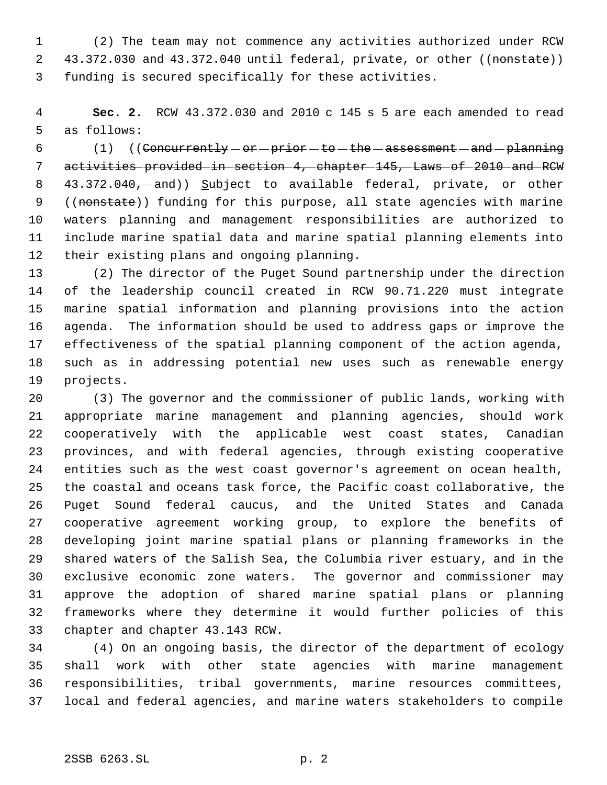(2) The team may not commence any activities authorized under RCW 2 43.372.030 and 43.372.040 until federal, private, or other ((nonstate)) funding is secured specifically for these activities.

 **Sec. 2.** RCW 43.372.030 and 2010 c 145 s 5 are each amended to read as follows:

 (1) ((Concurrently  $-$  or  $-$  prior  $-$  to  $-$  the  $-$  assessment  $-$  and  $-$  planning activities provided in section 4, chapter 145, Laws of 2010 and RCW 8 43.372.040, and)) Subject to available federal, private, or other 9 ((nonstate)) funding for this purpose, all state agencies with marine waters planning and management responsibilities are authorized to include marine spatial data and marine spatial planning elements into their existing plans and ongoing planning.

 (2) The director of the Puget Sound partnership under the direction of the leadership council created in RCW 90.71.220 must integrate marine spatial information and planning provisions into the action agenda. The information should be used to address gaps or improve the effectiveness of the spatial planning component of the action agenda, such as in addressing potential new uses such as renewable energy projects.

 (3) The governor and the commissioner of public lands, working with appropriate marine management and planning agencies, should work cooperatively with the applicable west coast states, Canadian provinces, and with federal agencies, through existing cooperative entities such as the west coast governor's agreement on ocean health, the coastal and oceans task force, the Pacific coast collaborative, the Puget Sound federal caucus, and the United States and Canada cooperative agreement working group, to explore the benefits of developing joint marine spatial plans or planning frameworks in the shared waters of the Salish Sea, the Columbia river estuary, and in the exclusive economic zone waters. The governor and commissioner may approve the adoption of shared marine spatial plans or planning frameworks where they determine it would further policies of this chapter and chapter 43.143 RCW.

 (4) On an ongoing basis, the director of the department of ecology shall work with other state agencies with marine management responsibilities, tribal governments, marine resources committees, local and federal agencies, and marine waters stakeholders to compile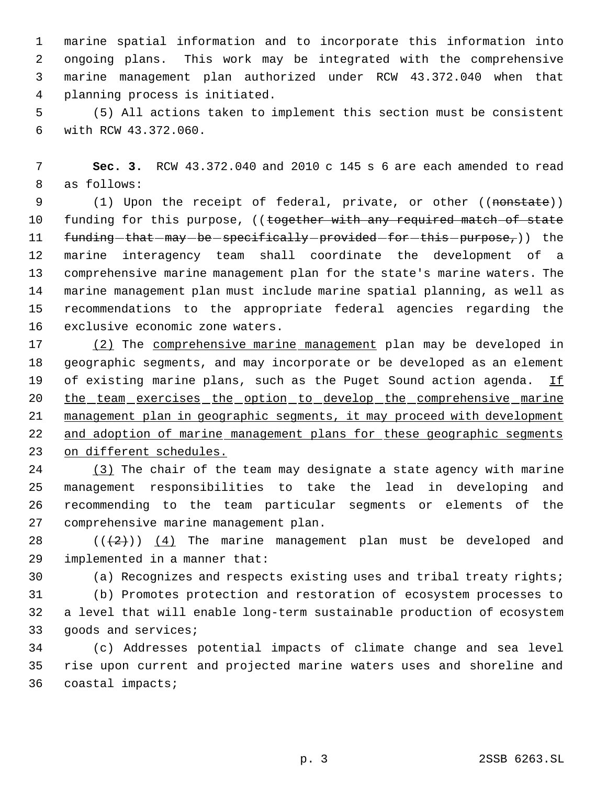marine spatial information and to incorporate this information into ongoing plans. This work may be integrated with the comprehensive marine management plan authorized under RCW 43.372.040 when that planning process is initiated.

 (5) All actions taken to implement this section must be consistent with RCW 43.372.060.

 **Sec. 3.** RCW 43.372.040 and 2010 c 145 s 6 are each amended to read as follows:

9 (1) Upon the receipt of federal, private, or other ((nonstate)) 10 funding for this purpose, ((together with any required match of state 11 funding-that-may-be-specifically-provided-for-this-purpose,)) the marine interagency team shall coordinate the development of a comprehensive marine management plan for the state's marine waters. The marine management plan must include marine spatial planning, as well as recommendations to the appropriate federal agencies regarding the exclusive economic zone waters.

17 (2) The comprehensive marine management plan may be developed in geographic segments, and may incorporate or be developed as an element 19 of existing marine plans, such as the Puget Sound action agenda. If 20 the team exercises the option to develop the comprehensive marine management plan in geographic segments, it may proceed with development 22 and adoption of marine management plans for these geographic segments on different schedules.

 (3) The chair of the team may designate a state agency with marine management responsibilities to take the lead in developing and recommending to the team particular segments or elements of the comprehensive marine management plan.

28  $((+2))$   $(4)$  The marine management plan must be developed and implemented in a manner that:

(a) Recognizes and respects existing uses and tribal treaty rights;

 (b) Promotes protection and restoration of ecosystem processes to a level that will enable long-term sustainable production of ecosystem goods and services;

 (c) Addresses potential impacts of climate change and sea level rise upon current and projected marine waters uses and shoreline and coastal impacts;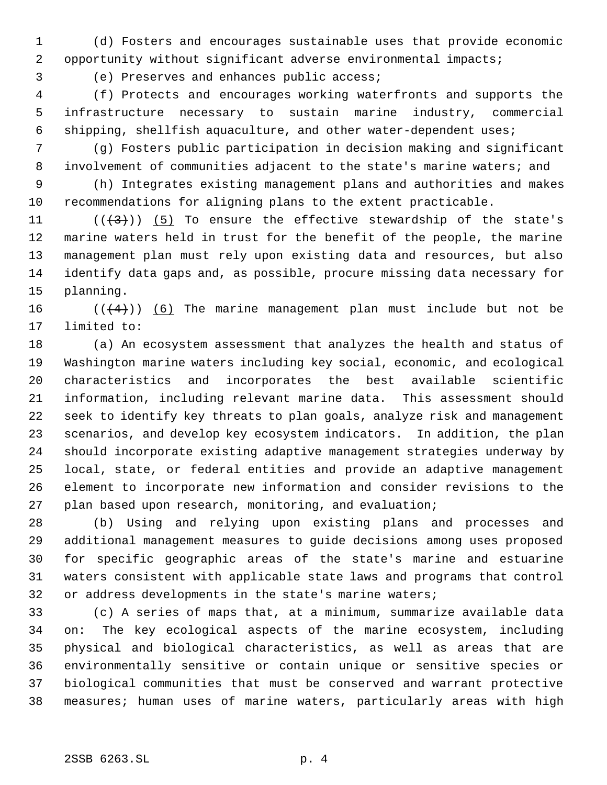(d) Fosters and encourages sustainable uses that provide economic opportunity without significant adverse environmental impacts;

(e) Preserves and enhances public access;

 (f) Protects and encourages working waterfronts and supports the infrastructure necessary to sustain marine industry, commercial shipping, shellfish aquaculture, and other water-dependent uses;

 (g) Fosters public participation in decision making and significant 8 involvement of communities adjacent to the state's marine waters; and

 (h) Integrates existing management plans and authorities and makes recommendations for aligning plans to the extent practicable.

 $((+3))$  (5) To ensure the effective stewardship of the state's marine waters held in trust for the benefit of the people, the marine management plan must rely upon existing data and resources, but also identify data gaps and, as possible, procure missing data necessary for planning.

 $((\langle 4 \rangle) )$  (6) The marine management plan must include but not be limited to:

 (a) An ecosystem assessment that analyzes the health and status of Washington marine waters including key social, economic, and ecological characteristics and incorporates the best available scientific information, including relevant marine data. This assessment should seek to identify key threats to plan goals, analyze risk and management scenarios, and develop key ecosystem indicators. In addition, the plan should incorporate existing adaptive management strategies underway by local, state, or federal entities and provide an adaptive management element to incorporate new information and consider revisions to the plan based upon research, monitoring, and evaluation;

 (b) Using and relying upon existing plans and processes and additional management measures to guide decisions among uses proposed for specific geographic areas of the state's marine and estuarine waters consistent with applicable state laws and programs that control or address developments in the state's marine waters;

 (c) A series of maps that, at a minimum, summarize available data on: The key ecological aspects of the marine ecosystem, including physical and biological characteristics, as well as areas that are environmentally sensitive or contain unique or sensitive species or biological communities that must be conserved and warrant protective measures; human uses of marine waters, particularly areas with high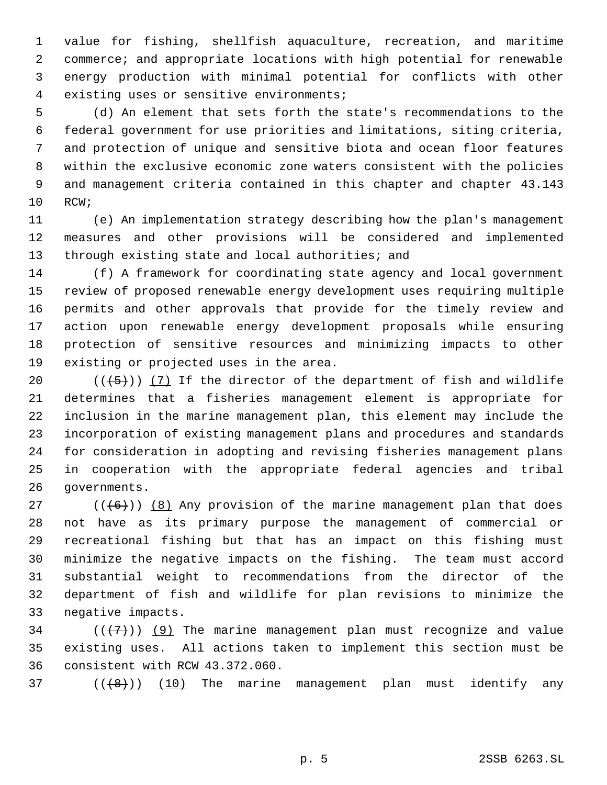value for fishing, shellfish aquaculture, recreation, and maritime commerce; and appropriate locations with high potential for renewable energy production with minimal potential for conflicts with other existing uses or sensitive environments;

 (d) An element that sets forth the state's recommendations to the federal government for use priorities and limitations, siting criteria, and protection of unique and sensitive biota and ocean floor features within the exclusive economic zone waters consistent with the policies and management criteria contained in this chapter and chapter 43.143 RCW;

 (e) An implementation strategy describing how the plan's management measures and other provisions will be considered and implemented 13 through existing state and local authorities; and

 (f) A framework for coordinating state agency and local government review of proposed renewable energy development uses requiring multiple permits and other approvals that provide for the timely review and action upon renewable energy development proposals while ensuring protection of sensitive resources and minimizing impacts to other existing or projected uses in the area.

 $((+5))$   $(7)$  If the director of the department of fish and wildlife determines that a fisheries management element is appropriate for inclusion in the marine management plan, this element may include the incorporation of existing management plans and procedures and standards for consideration in adopting and revising fisheries management plans in cooperation with the appropriate federal agencies and tribal governments.

27 ( $(\langle 6 \rangle)$ ) (8) Any provision of the marine management plan that does not have as its primary purpose the management of commercial or recreational fishing but that has an impact on this fishing must minimize the negative impacts on the fishing. The team must accord substantial weight to recommendations from the director of the department of fish and wildlife for plan revisions to minimize the negative impacts.

34 ( $(\langle 7 \rangle)$  (9) The marine management plan must recognize and value existing uses. All actions taken to implement this section must be consistent with RCW 43.372.060.

37  $((\langle 8 \rangle))$   $(10)$  The marine management plan must identify any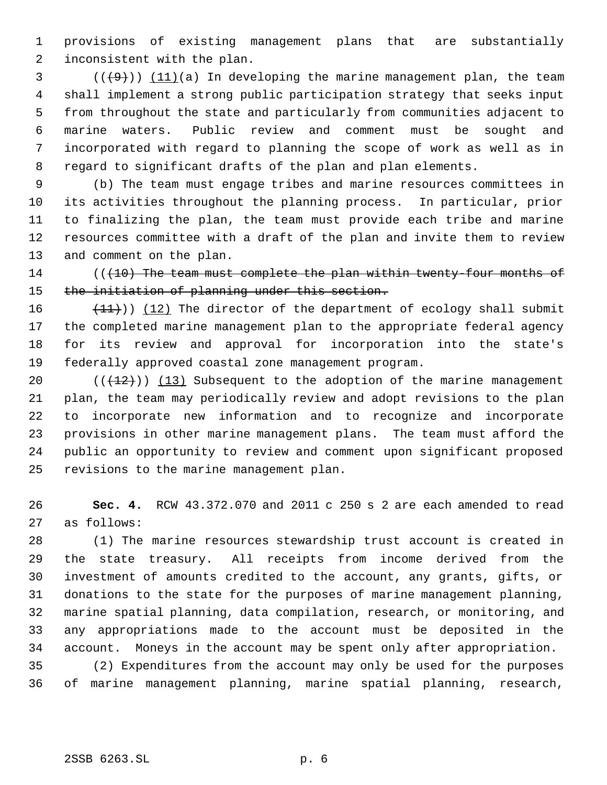provisions of existing management plans that are substantially inconsistent with the plan.

 $(1, 9)$  (( $(1, 9)$ )) (11)(a) In developing the marine management plan, the team shall implement a strong public participation strategy that seeks input from throughout the state and particularly from communities adjacent to marine waters. Public review and comment must be sought and incorporated with regard to planning the scope of work as well as in regard to significant drafts of the plan and plan elements.

 (b) The team must engage tribes and marine resources committees in its activities throughout the planning process. In particular, prior to finalizing the plan, the team must provide each tribe and marine resources committee with a draft of the plan and invite them to review and comment on the plan.

14 (( $(10)$  The team must complete the plan within twenty-four months of 15 the initiation of planning under this section.

 $(11)$ ) (12) The director of the department of ecology shall submit the completed marine management plan to the appropriate federal agency for its review and approval for incorporation into the state's federally approved coastal zone management program.

 $((+12))$   $(13)$  Subsequent to the adoption of the marine management plan, the team may periodically review and adopt revisions to the plan to incorporate new information and to recognize and incorporate provisions in other marine management plans. The team must afford the public an opportunity to review and comment upon significant proposed revisions to the marine management plan.

 **Sec. 4.** RCW 43.372.070 and 2011 c 250 s 2 are each amended to read as follows:

 (1) The marine resources stewardship trust account is created in the state treasury. All receipts from income derived from the investment of amounts credited to the account, any grants, gifts, or donations to the state for the purposes of marine management planning, marine spatial planning, data compilation, research, or monitoring, and any appropriations made to the account must be deposited in the account. Moneys in the account may be spent only after appropriation.

 (2) Expenditures from the account may only be used for the purposes of marine management planning, marine spatial planning, research,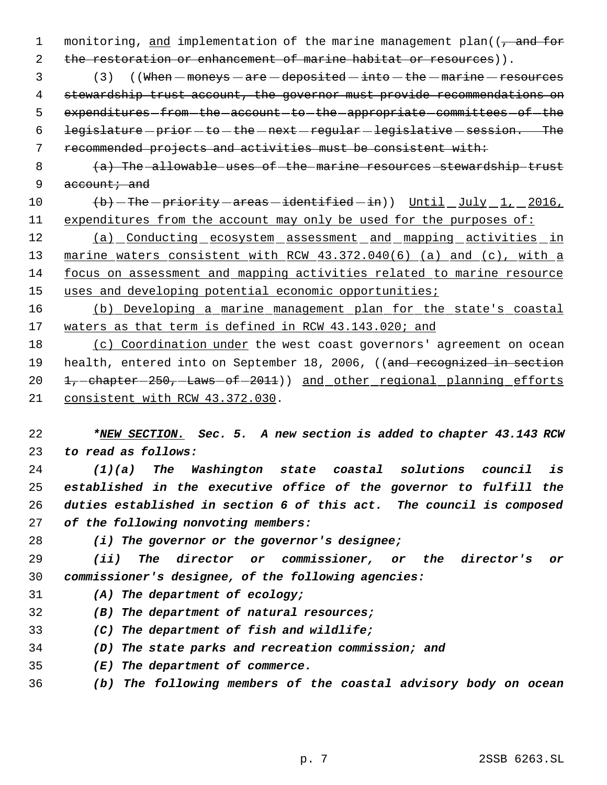1 monitoring, and implementation of the marine management plan((, and for 2 the restoration or enhancement of marine habitat or resources)).

3 (3) ((When  $-m$ oneys  $-$  are  $-$  deposited  $-$  into  $-$  the  $-m$ arine  $-$  resources stewardship trust account, the governor must provide recommendations on 5 expenditures from the account to the appropriate committees of the 6 legislature - prior - to - the - next - regular - legislative - session. The recommended projects and activities must be consistent with:

- (a) The allowable uses of the marine resources stewardship trust 9 account; and
- 10 (b) The priority areas -identified -in)) Until July 1, 2016, 11 expenditures from the account may only be used for the purposes of:

12 (a) Conducting ecosystem assessment and mapping activities in marine waters consistent with RCW 43.372.040(6) (a) and (c), with a focus on assessment and mapping activities related to marine resource 15 uses and developing potential economic opportunities;

 (b) Developing a marine management plan for the state's coastal 17 waters as that term is defined in RCW 43.143.020; and

 (c) Coordination under the west coast governors' agreement on ocean 19 health, entered into on September 18, 2006, ((and recognized in section 20 1, chapter - 250, Laws of - 2011) and other regional planning efforts consistent with RCW 43.372.030.

 *\*NEW SECTION. Sec. 5. A new section is added to chapter 43.143 RCW to read as follows:*

 *(1)(a) The Washington state coastal solutions council is established in the executive office of the governor to fulfill the duties established in section 6 of this act. The council is composed of the following nonvoting members:*

*(i) The governor or the governor's designee;*

 *(ii) The director or commissioner, or the director's or commissioner's designee, of the following agencies:*

- *(A) The department of ecology;*
- *(B) The department of natural resources;*
- *(C) The department of fish and wildlife;*
- *(D) The state parks and recreation commission; and*
- *(E) The department of commerce.*
- *(b) The following members of the coastal advisory body on ocean*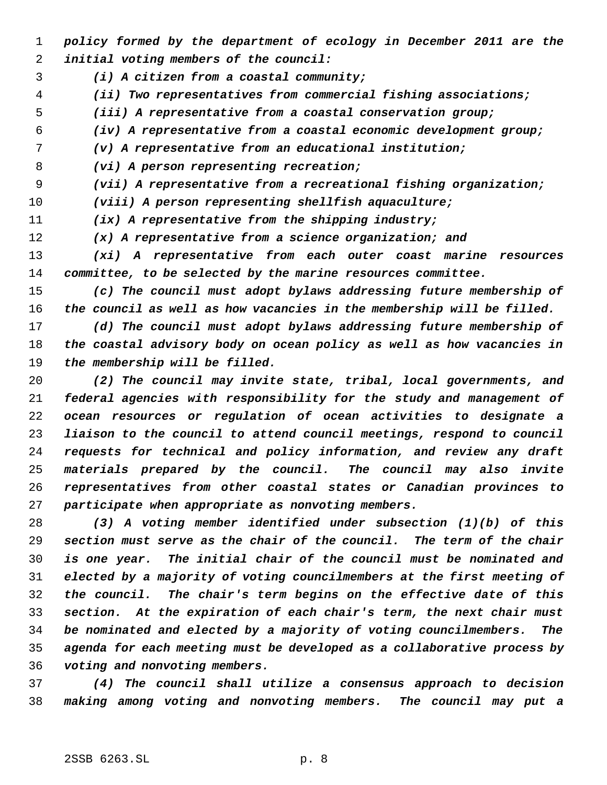- *policy formed by the department of ecology in December 2011 are the initial voting members of the council:*
- *(i) A citizen from a coastal community;*
- *(ii) Two representatives from commercial fishing associations;*
- *(iii) A representative from a coastal conservation group;*

*(iv) A representative from a coastal economic development group;*

- *(v) A representative from an educational institution;*
- *(vi) A person representing recreation;*
- *(vii) A representative from a recreational fishing organization;*

*(viii) A person representing shellfish aquaculture;*

*(ix) A representative from the shipping industry;*

*(x) A representative from a science organization; and*

 *(xi) A representative from each outer coast marine resources committee, to be selected by the marine resources committee.*

 *(c) The council must adopt bylaws addressing future membership of the council as well as how vacancies in the membership will be filled.*

 *(d) The council must adopt bylaws addressing future membership of the coastal advisory body on ocean policy as well as how vacancies in the membership will be filled.*

 *(2) The council may invite state, tribal, local governments, and federal agencies with responsibility for the study and management of ocean resources or regulation of ocean activities to designate a liaison to the council to attend council meetings, respond to council requests for technical and policy information, and review any draft materials prepared by the council. The council may also invite representatives from other coastal states or Canadian provinces to participate when appropriate as nonvoting members.*

 *(3) A voting member identified under subsection (1)(b) of this section must serve as the chair of the council. The term of the chair is one year. The initial chair of the council must be nominated and elected by a majority of voting councilmembers at the first meeting of the council. The chair's term begins on the effective date of this section. At the expiration of each chair's term, the next chair must be nominated and elected by a majority of voting councilmembers. The agenda for each meeting must be developed as a collaborative process by voting and nonvoting members.*

 *(4) The council shall utilize a consensus approach to decision making among voting and nonvoting members. The council may put a*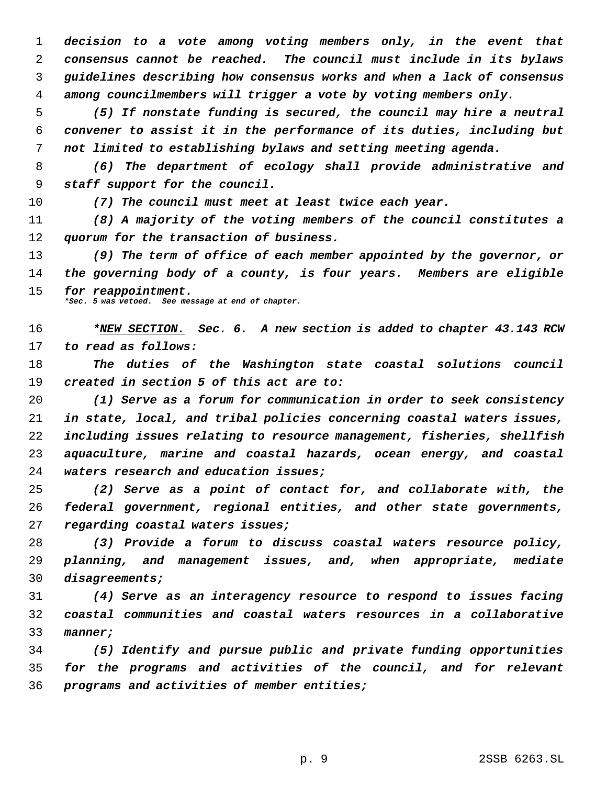*decision to a vote among voting members only, in the event that consensus cannot be reached. The council must include in its bylaws guidelines describing how consensus works and when a lack of consensus among councilmembers will trigger a vote by voting members only.*

 *(5) If nonstate funding is secured, the council may hire a neutral convener to assist it in the performance of its duties, including but not limited to establishing bylaws and setting meeting agenda.*

 *(6) The department of ecology shall provide administrative and staff support for the council.*

*(7) The council must meet at least twice each year.*

 *(8) A majority of the voting members of the council constitutes a quorum for the transaction of business.*

 *(9) The term of office of each member appointed by the governor, or the governing body of a county, is four years. Members are eligible for reappointment. \*Sec. 5 was vetoed. See message at end of chapter.*

 *\*NEW SECTION. Sec. 6. A new section is added to chapter 43.143 RCW to read as follows:*

 *The duties of the Washington state coastal solutions council created in section 5 of this act are to:*

 *(1) Serve as a forum for communication in order to seek consistency in state, local, and tribal policies concerning coastal waters issues, including issues relating to resource management, fisheries, shellfish aquaculture, marine and coastal hazards, ocean energy, and coastal waters research and education issues;*

 *(2) Serve as a point of contact for, and collaborate with, the federal government, regional entities, and other state governments, regarding coastal waters issues;*

 *(3) Provide a forum to discuss coastal waters resource policy, planning, and management issues, and, when appropriate, mediate disagreements;*

 *(4) Serve as an interagency resource to respond to issues facing coastal communities and coastal waters resources in a collaborative manner;*

 *(5) Identify and pursue public and private funding opportunities for the programs and activities of the council, and for relevant programs and activities of member entities;*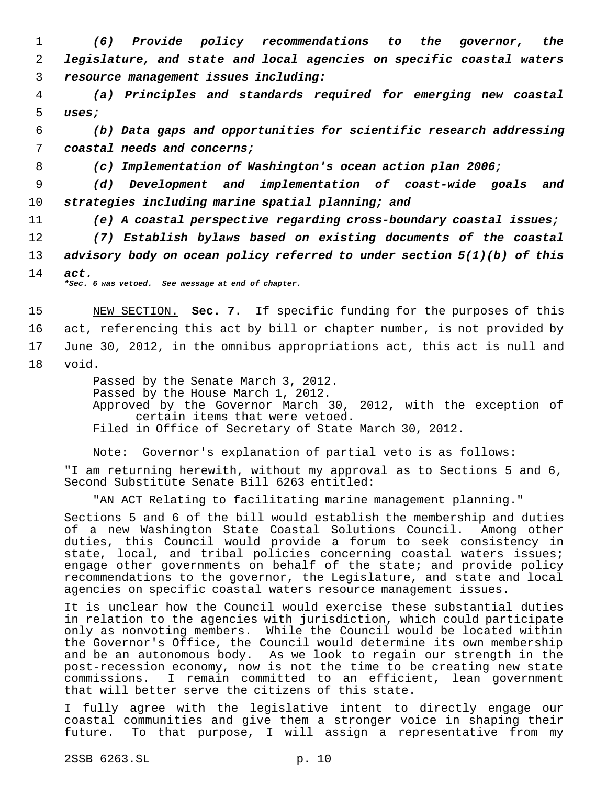1 *(6) Provide policy recommendations to the governor, the* 2 *legislature, and state and local agencies on specific coastal waters* 3 *resource management issues including:*

 4 *(a) Principles and standards required for emerging new coastal* 5 *uses;*

 6 *(b) Data gaps and opportunities for scientific research addressing* 7 *coastal needs and concerns;*

8 *(c) Implementation of Washington's ocean action plan 2006;*

 9 *(d) Development and implementation of coast-wide goals and* 10 *strategies including marine spatial planning; and*

11 *(e) A coastal perspective regarding cross-boundary coastal issues;*

12 *(7) Establish bylaws based on existing documents of the coastal* 13 *advisory body on ocean policy referred to under section 5(1)(b) of this* 14 *act.*

*\*Sec. 6 was vetoed. See message at end of chapter.*

 NEW SECTION. **Sec. 7.** If specific funding for the purposes of this act, referencing this act by bill or chapter number, is not provided by June 30, 2012, in the omnibus appropriations act, this act is null and 18 void.

> Passed by the Senate March 3, 2012. Passed by the House March 1, 2012. Approved by the Governor March 30, 2012, with the exception of certain items that were vetoed. Filed in Office of Secretary of State March 30, 2012.

Note: Governor's explanation of partial veto is as follows:

"I am returning herewith, without my approval as to Sections 5 and 6, Second Substitute Senate Bill 6263 entitled:

"AN ACT Relating to facilitating marine management planning."

Sections 5 and 6 of the bill would establish the membership and duties of a new Washington State Coastal Solutions Council. Among other duties, this Council would provide a forum to seek consistency in state, local, and tribal policies concerning coastal waters issues; engage other governments on behalf of the state; and provide policy recommendations to the governor, the Legislature, and state and local agencies on specific coastal waters resource management issues.

It is unclear how the Council would exercise these substantial duties in relation to the agencies with jurisdiction, which could participate only as nonvoting members. While the Council would be located within the Governor's Office, the Council would determine its own membership and be an autonomous body. As we look to regain our strength in the post-recession economy, now is not the time to be creating new state commissions. I remain committed to an efficient, lean government that will better serve the citizens of this state.

I fully agree with the legislative intent to directly engage our coastal communities and give them a stronger voice in shaping their future. To that purpose, I will assign a representative from my